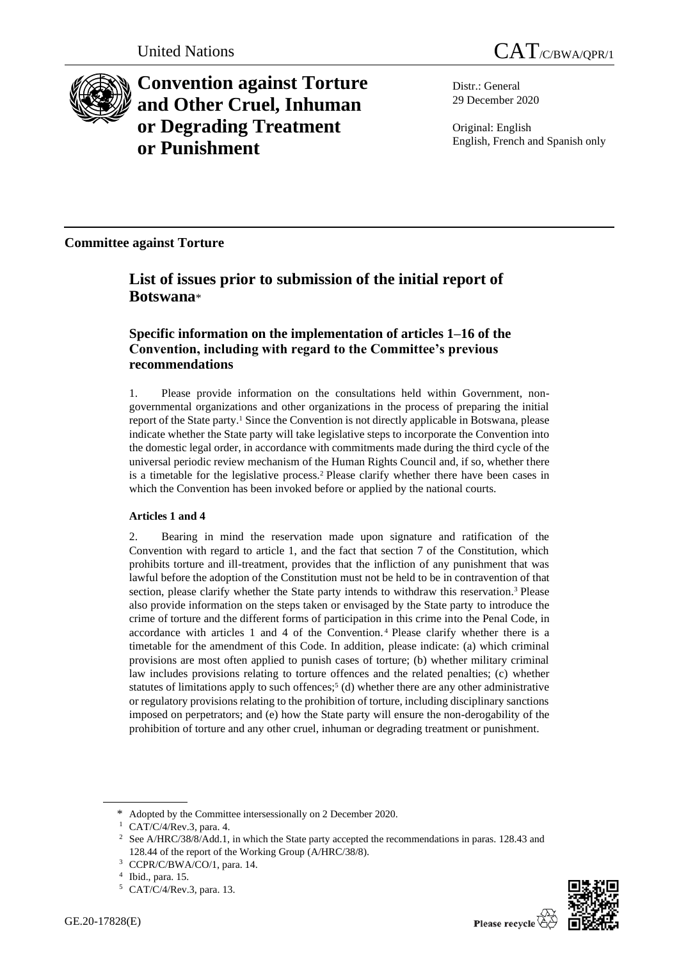

**Convention against Torture and Other Cruel, Inhuman or Degrading Treatment or Punishment**

Distr.: General 29 December 2020

Original: English English, French and Spanish only

**Committee against Torture**

# **List of issues prior to submission of the initial report of Botswana**\*

## **Specific information on the implementation of articles 1–16 of the Convention, including with regard to the Committee's previous recommendations**

1. Please provide information on the consultations held within Government, nongovernmental organizations and other organizations in the process of preparing the initial report of the State party.<sup>1</sup> Since the Convention is not directly applicable in Botswana, please indicate whether the State party will take legislative steps to incorporate the Convention into the domestic legal order, in accordance with commitments made during the third cycle of the universal periodic review mechanism of the Human Rights Council and, if so, whether there is a timetable for the legislative process.<sup>2</sup> Please clarify whether there have been cases in which the Convention has been invoked before or applied by the national courts.

## **Articles 1 and 4**

2. Bearing in mind the reservation made upon signature and ratification of the Convention with regard to article 1, and the fact that section 7 of the Constitution, which prohibits torture and ill-treatment, provides that the infliction of any punishment that was lawful before the adoption of the Constitution must not be held to be in contravention of that section, please clarify whether the State party intends to withdraw this reservation.<sup>3</sup> Please also provide information on the steps taken or envisaged by the State party to introduce the crime of torture and the different forms of participation in this crime into the Penal Code, in accordance with articles 1 and 4 of the Convention. <sup>4</sup> Please clarify whether there is a timetable for the amendment of this Code. In addition, please indicate: (a) which criminal provisions are most often applied to punish cases of torture; (b) whether military criminal law includes provisions relating to torture offences and the related penalties; (c) whether statutes of limitations apply to such offences;<sup>5</sup> (d) whether there are any other administrative or regulatory provisions relating to the prohibition of torture, including disciplinary sanctions imposed on perpetrators; and (e) how the State party will ensure the non-derogability of the prohibition of torture and any other cruel, inhuman or degrading treatment or punishment.



<sup>\*</sup> Adopted by the Committee intersessionally on 2 December 2020.

<sup>1</sup> CAT/C/4/Rev.3, para. 4.

<sup>2</sup> See A/HRC/38/8/Add.1, in which the State party accepted the recommendations in paras. 128.43 and 128.44 of the report of the Working Group (A/HRC/38/8).

<sup>3</sup> CCPR/C/BWA/CO/1, para. 14.

<sup>4</sup> Ibid., para. 15.

<sup>5</sup> CAT/C/4/Rev.3, para. 13.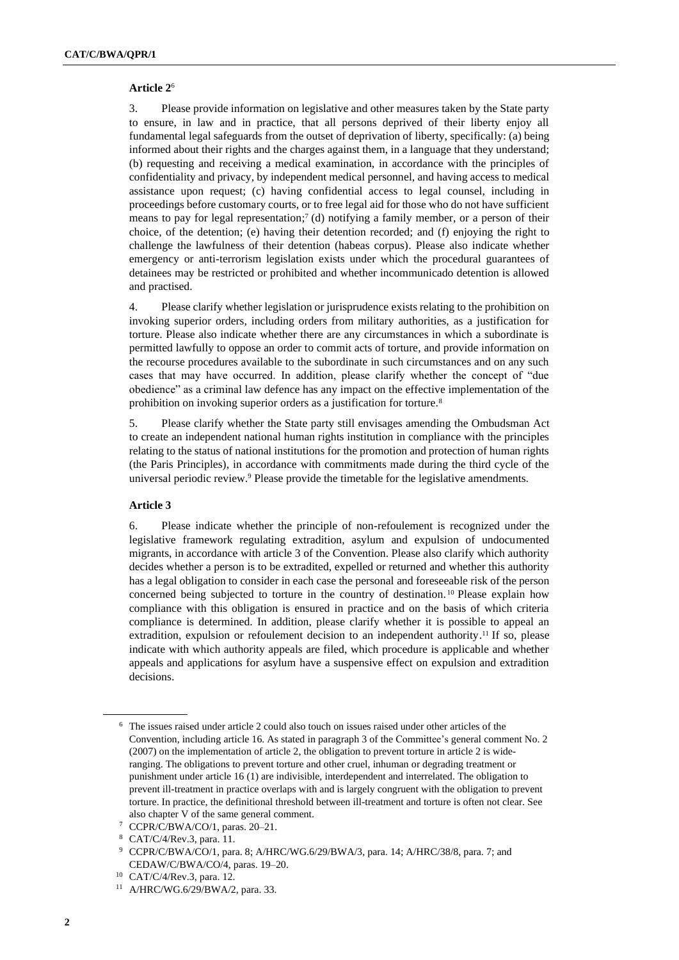#### **Article 2**<sup>6</sup>

3. Please provide information on legislative and other measures taken by the State party to ensure, in law and in practice, that all persons deprived of their liberty enjoy all fundamental legal safeguards from the outset of deprivation of liberty, specifically: (a) being informed about their rights and the charges against them, in a language that they understand; (b) requesting and receiving a medical examination, in accordance with the principles of confidentiality and privacy, by independent medical personnel, and having access to medical assistance upon request; (c) having confidential access to legal counsel, including in proceedings before customary courts, or to free legal aid for those who do not have sufficient means to pay for legal representation;<sup>7</sup> (d) notifying a family member, or a person of their choice, of the detention; (e) having their detention recorded; and (f) enjoying the right to challenge the lawfulness of their detention (habeas corpus). Please also indicate whether emergency or anti-terrorism legislation exists under which the procedural guarantees of detainees may be restricted or prohibited and whether incommunicado detention is allowed and practised.

4. Please clarify whether legislation or jurisprudence exists relating to the prohibition on invoking superior orders, including orders from military authorities, as a justification for torture. Please also indicate whether there are any circumstances in which a subordinate is permitted lawfully to oppose an order to commit acts of torture, and provide information on the recourse procedures available to the subordinate in such circumstances and on any such cases that may have occurred. In addition, please clarify whether the concept of "due obedience" as a criminal law defence has any impact on the effective implementation of the prohibition on invoking superior orders as a justification for torture.<sup>8</sup>

5. Please clarify whether the State party still envisages amending the Ombudsman Act to create an independent national human rights institution in compliance with the principles relating to the status of national institutions for the promotion and protection of human rights (the Paris Principles), in accordance with commitments made during the third cycle of the universal periodic review.<sup>9</sup> Please provide the timetable for the legislative amendments.

### **Article 3**

6. Please indicate whether the principle of non-refoulement is recognized under the legislative framework regulating extradition, asylum and expulsion of undocumented migrants, in accordance with article 3 of the Convention. Please also clarify which authority decides whether a person is to be extradited, expelled or returned and whether this authority has a legal obligation to consider in each case the personal and foreseeable risk of the person concerned being subjected to torture in the country of destination. <sup>10</sup> Please explain how compliance with this obligation is ensured in practice and on the basis of which criteria compliance is determined. In addition, please clarify whether it is possible to appeal an extradition, expulsion or refoulement decision to an independent authority.<sup>11</sup> If so, please indicate with which authority appeals are filed, which procedure is applicable and whether appeals and applications for asylum have a suspensive effect on expulsion and extradition decisions.

<sup>6</sup> The issues raised under article 2 could also touch on issues raised under other articles of the Convention, including article 16. As stated in paragraph 3 of the Committee's general comment No. 2 (2007) on the implementation of article 2, the obligation to prevent torture in article 2 is wideranging. The obligations to prevent torture and other cruel, inhuman or degrading treatment or punishment under article 16 (1) are indivisible, interdependent and interrelated. The obligation to prevent ill-treatment in practice overlaps with and is largely congruent with the obligation to prevent torture. In practice, the definitional threshold between ill-treatment and torture is often not clear. See also chapter V of the same general comment.

<sup>7</sup> CCPR/C/BWA/CO/1, paras. 20–21.

<sup>8</sup> CAT/C/4/Rev.3, para. 11.

<sup>9</sup> CCPR/C/BWA/CO/1, para. 8; A/HRC/WG.6/29/BWA/3, para. 14; A/HRC/38/8, para. 7; and CEDAW/C/BWA/CO/4, paras. 19–20.

<sup>10</sup> CAT/C/4/Rev.3, para. 12.

<sup>11</sup> A/HRC/WG.6/29/BWA/2, para. 33.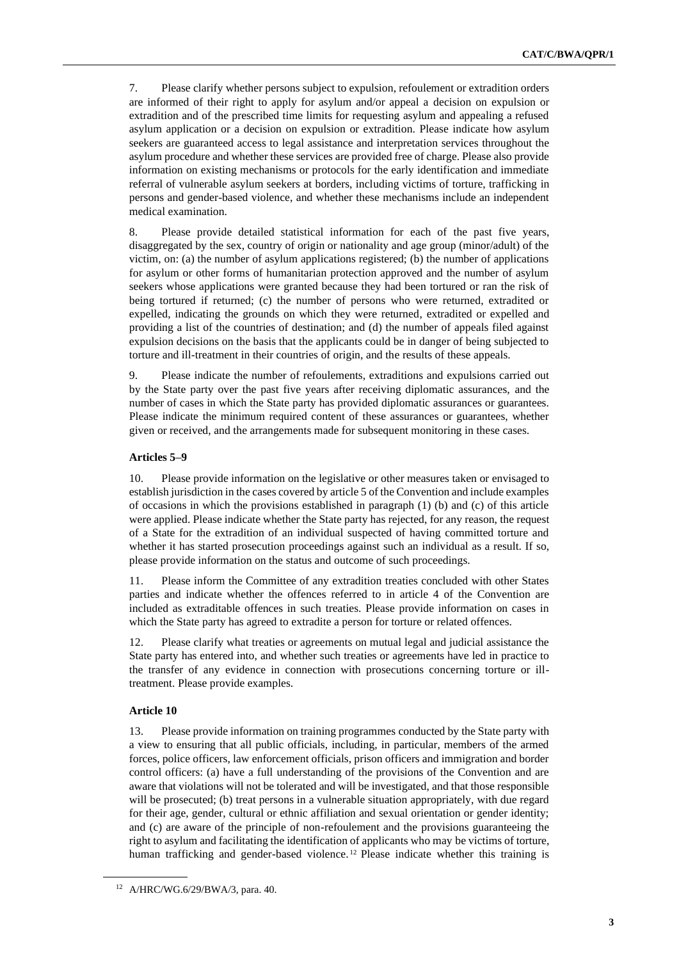7. Please clarify whether persons subject to expulsion, refoulement or extradition orders are informed of their right to apply for asylum and/or appeal a decision on expulsion or extradition and of the prescribed time limits for requesting asylum and appealing a refused asylum application or a decision on expulsion or extradition. Please indicate how asylum seekers are guaranteed access to legal assistance and interpretation services throughout the asylum procedure and whether these services are provided free of charge. Please also provide information on existing mechanisms or protocols for the early identification and immediate referral of vulnerable asylum seekers at borders, including victims of torture, trafficking in persons and gender-based violence, and whether these mechanisms include an independent medical examination.

8. Please provide detailed statistical information for each of the past five years, disaggregated by the sex, country of origin or nationality and age group (minor/adult) of the victim, on: (a) the number of asylum applications registered; (b) the number of applications for asylum or other forms of humanitarian protection approved and the number of asylum seekers whose applications were granted because they had been tortured or ran the risk of being tortured if returned; (c) the number of persons who were returned, extradited or expelled, indicating the grounds on which they were returned, extradited or expelled and providing a list of the countries of destination; and (d) the number of appeals filed against expulsion decisions on the basis that the applicants could be in danger of being subjected to torture and ill-treatment in their countries of origin, and the results of these appeals.

9. Please indicate the number of refoulements, extraditions and expulsions carried out by the State party over the past five years after receiving diplomatic assurances, and the number of cases in which the State party has provided diplomatic assurances or guarantees. Please indicate the minimum required content of these assurances or guarantees, whether given or received, and the arrangements made for subsequent monitoring in these cases.

#### **Articles 5–9**

10. Please provide information on the legislative or other measures taken or envisaged to establish jurisdiction in the cases covered by article 5 of the Convention and include examples of occasions in which the provisions established in paragraph  $(1)$  (b) and  $(c)$  of this article were applied. Please indicate whether the State party has rejected, for any reason, the request of a State for the extradition of an individual suspected of having committed torture and whether it has started prosecution proceedings against such an individual as a result. If so, please provide information on the status and outcome of such proceedings.

11. Please inform the Committee of any extradition treaties concluded with other States parties and indicate whether the offences referred to in article 4 of the Convention are included as extraditable offences in such treaties. Please provide information on cases in which the State party has agreed to extradite a person for torture or related offences.

12. Please clarify what treaties or agreements on mutual legal and judicial assistance the State party has entered into, and whether such treaties or agreements have led in practice to the transfer of any evidence in connection with prosecutions concerning torture or illtreatment. Please provide examples.

#### **Article 10**

13. Please provide information on training programmes conducted by the State party with a view to ensuring that all public officials, including, in particular, members of the armed forces, police officers, law enforcement officials, prison officers and immigration and border control officers: (a) have a full understanding of the provisions of the Convention and are aware that violations will not be tolerated and will be investigated, and that those responsible will be prosecuted; (b) treat persons in a vulnerable situation appropriately, with due regard for their age, gender, cultural or ethnic affiliation and sexual orientation or gender identity; and (c) are aware of the principle of non-refoulement and the provisions guaranteeing the right to asylum and facilitating the identification of applicants who may be victims of torture, human trafficking and gender-based violence.<sup>12</sup> Please indicate whether this training is

<sup>12</sup> A/HRC/WG.6/29/BWA/3, para. 40.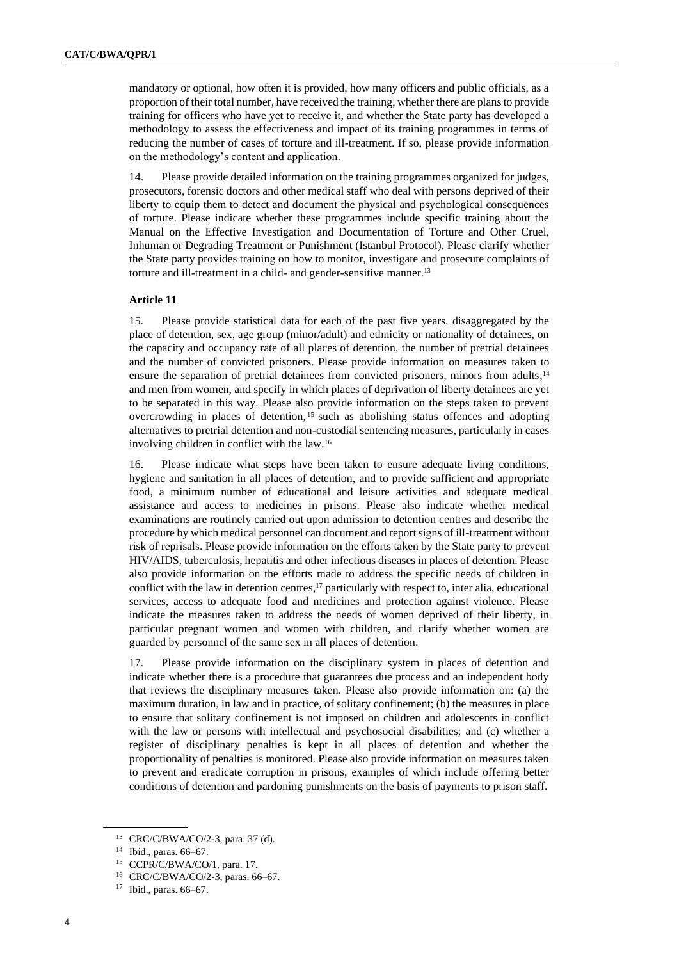mandatory or optional, how often it is provided, how many officers and public officials, as a proportion of their total number, have received the training, whether there are plans to provide training for officers who have yet to receive it, and whether the State party has developed a methodology to assess the effectiveness and impact of its training programmes in terms of reducing the number of cases of torture and ill-treatment. If so, please provide information on the methodology's content and application.

14. Please provide detailed information on the training programmes organized for judges, prosecutors, forensic doctors and other medical staff who deal with persons deprived of their liberty to equip them to detect and document the physical and psychological consequences of torture. Please indicate whether these programmes include specific training about the Manual on the Effective Investigation and Documentation of Torture and Other Cruel, Inhuman or Degrading Treatment or Punishment (Istanbul Protocol). Please clarify whether the State party provides training on how to monitor, investigate and prosecute complaints of torture and ill-treatment in a child- and gender-sensitive manner.<sup>13</sup>

#### **Article 11**

15. Please provide statistical data for each of the past five years, disaggregated by the place of detention, sex, age group (minor/adult) and ethnicity or nationality of detainees, on the capacity and occupancy rate of all places of detention, the number of pretrial detainees and the number of convicted prisoners. Please provide information on measures taken to ensure the separation of pretrial detainees from convicted prisoners, minors from adults,<sup>14</sup> and men from women, and specify in which places of deprivation of liberty detainees are yet to be separated in this way. Please also provide information on the steps taken to prevent overcrowding in places of detention, <sup>15</sup> such as abolishing status offences and adopting alternatives to pretrial detention and non-custodial sentencing measures, particularly in cases involving children in conflict with the law.<sup>16</sup>

16. Please indicate what steps have been taken to ensure adequate living conditions, hygiene and sanitation in all places of detention, and to provide sufficient and appropriate food, a minimum number of educational and leisure activities and adequate medical assistance and access to medicines in prisons. Please also indicate whether medical examinations are routinely carried out upon admission to detention centres and describe the procedure by which medical personnel can document and report signs of ill-treatment without risk of reprisals. Please provide information on the efforts taken by the State party to prevent HIV/AIDS, tuberculosis, hepatitis and other infectious diseases in places of detention. Please also provide information on the efforts made to address the specific needs of children in conflict with the law in detention centres, <sup>17</sup> particularly with respect to, inter alia, educational services, access to adequate food and medicines and protection against violence. Please indicate the measures taken to address the needs of women deprived of their liberty, in particular pregnant women and women with children, and clarify whether women are guarded by personnel of the same sex in all places of detention.

17. Please provide information on the disciplinary system in places of detention and indicate whether there is a procedure that guarantees due process and an independent body that reviews the disciplinary measures taken. Please also provide information on: (a) the maximum duration, in law and in practice, of solitary confinement; (b) the measures in place to ensure that solitary confinement is not imposed on children and adolescents in conflict with the law or persons with intellectual and psychosocial disabilities; and (c) whether a register of disciplinary penalties is kept in all places of detention and whether the proportionality of penalties is monitored. Please also provide information on measures taken to prevent and eradicate corruption in prisons, examples of which include offering better conditions of detention and pardoning punishments on the basis of payments to prison staff.

<sup>13</sup> CRC/C/BWA/CO/2-3, para. 37 (d).

<sup>14</sup> Ibid., paras. 66–67.

<sup>15</sup> CCPR/C/BWA/CO/1, para. 17.

<sup>16</sup> CRC/C/BWA/CO/2-3, paras. 66–67.

<sup>17</sup> Ibid., paras. 66–67.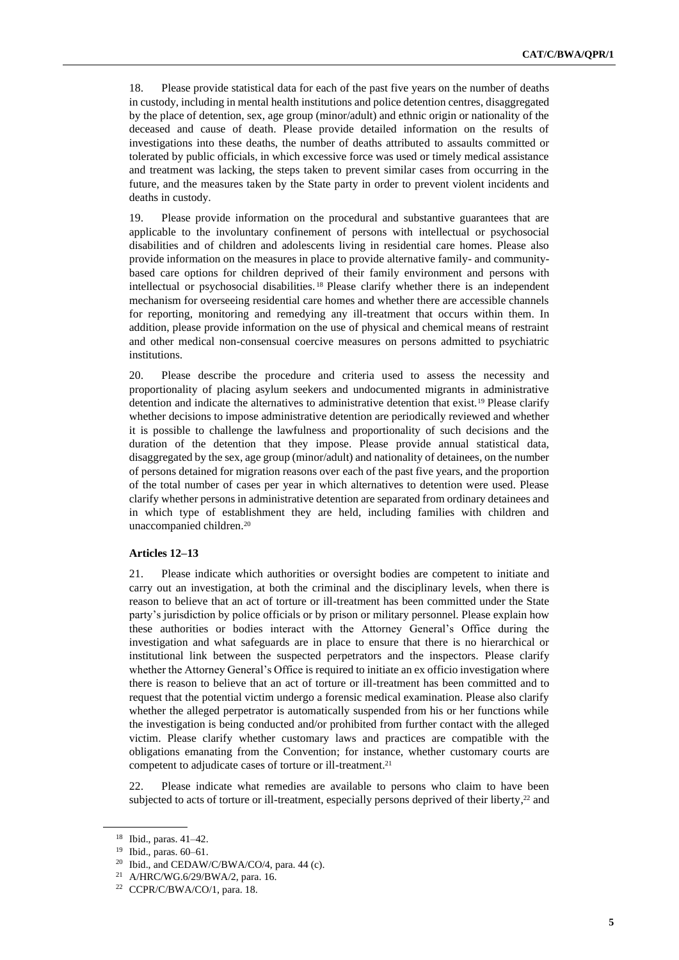18. Please provide statistical data for each of the past five years on the number of deaths in custody, including in mental health institutions and police detention centres, disaggregated by the place of detention, sex, age group (minor/adult) and ethnic origin or nationality of the deceased and cause of death. Please provide detailed information on the results of investigations into these deaths, the number of deaths attributed to assaults committed or tolerated by public officials, in which excessive force was used or timely medical assistance and treatment was lacking, the steps taken to prevent similar cases from occurring in the future, and the measures taken by the State party in order to prevent violent incidents and deaths in custody.

19. Please provide information on the procedural and substantive guarantees that are applicable to the involuntary confinement of persons with intellectual or psychosocial disabilities and of children and adolescents living in residential care homes. Please also provide information on the measures in place to provide alternative family- and communitybased care options for children deprived of their family environment and persons with intellectual or psychosocial disabilities. <sup>18</sup> Please clarify whether there is an independent mechanism for overseeing residential care homes and whether there are accessible channels for reporting, monitoring and remedying any ill-treatment that occurs within them. In addition, please provide information on the use of physical and chemical means of restraint and other medical non-consensual coercive measures on persons admitted to psychiatric institutions.

20. Please describe the procedure and criteria used to assess the necessity and proportionality of placing asylum seekers and undocumented migrants in administrative detention and indicate the alternatives to administrative detention that exist.<sup>19</sup> Please clarify whether decisions to impose administrative detention are periodically reviewed and whether it is possible to challenge the lawfulness and proportionality of such decisions and the duration of the detention that they impose. Please provide annual statistical data, disaggregated by the sex, age group (minor/adult) and nationality of detainees, on the number of persons detained for migration reasons over each of the past five years, and the proportion of the total number of cases per year in which alternatives to detention were used. Please clarify whether persons in administrative detention are separated from ordinary detainees and in which type of establishment they are held, including families with children and unaccompanied children.<sup>20</sup>

#### **Articles 12–13**

21. Please indicate which authorities or oversight bodies are competent to initiate and carry out an investigation, at both the criminal and the disciplinary levels, when there is reason to believe that an act of torture or ill-treatment has been committed under the State party's jurisdiction by police officials or by prison or military personnel. Please explain how these authorities or bodies interact with the Attorney General's Office during the investigation and what safeguards are in place to ensure that there is no hierarchical or institutional link between the suspected perpetrators and the inspectors. Please clarify whether the Attorney General's Office is required to initiate an ex officio investigation where there is reason to believe that an act of torture or ill-treatment has been committed and to request that the potential victim undergo a forensic medical examination. Please also clarify whether the alleged perpetrator is automatically suspended from his or her functions while the investigation is being conducted and/or prohibited from further contact with the alleged victim. Please clarify whether customary laws and practices are compatible with the obligations emanating from the Convention; for instance, whether customary courts are competent to adjudicate cases of torture or ill-treatment.<sup>21</sup>

22. Please indicate what remedies are available to persons who claim to have been subjected to acts of torture or ill-treatment, especially persons deprived of their liberty,<sup>22</sup> and

<sup>18</sup> Ibid., paras. 41–42.

<sup>19</sup> Ibid., paras. 60–61.

 $20$  Ibid., and CEDAW/C/BWA/CO/4, para. 44 (c).

<sup>21</sup> A/HRC/WG.6/29/BWA/2, para. 16.

<sup>22</sup> CCPR/C/BWA/CO/1, para. 18.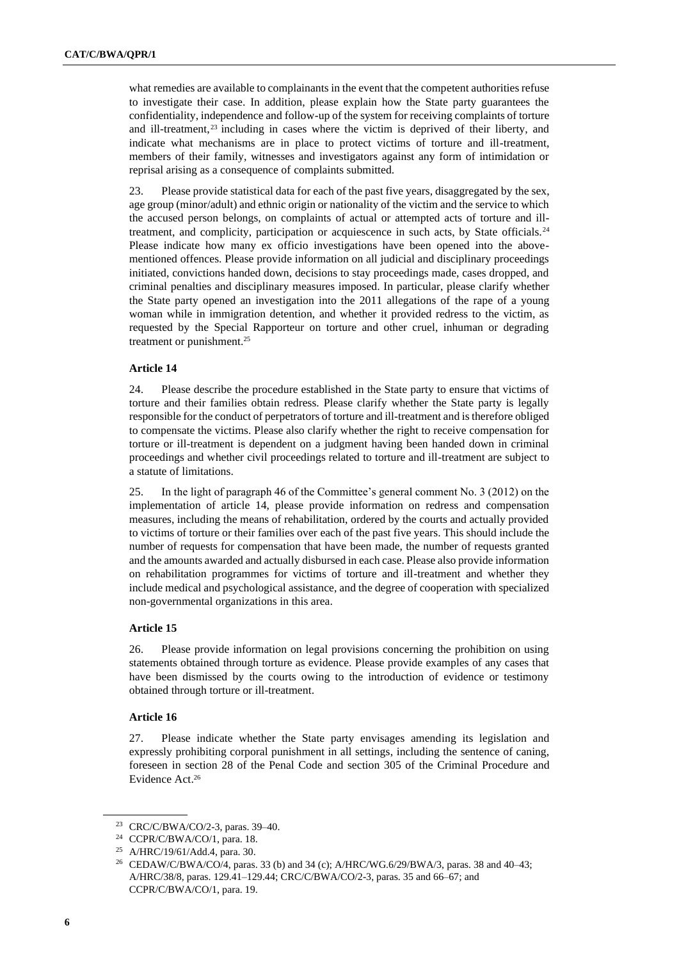what remedies are available to complainants in the event that the competent authorities refuse to investigate their case. In addition, please explain how the State party guarantees the confidentiality, independence and follow-up of the system for receiving complaints of torture and ill-treatment,<sup>23</sup> including in cases where the victim is deprived of their liberty, and indicate what mechanisms are in place to protect victims of torture and ill-treatment, members of their family, witnesses and investigators against any form of intimidation or reprisal arising as a consequence of complaints submitted.

23. Please provide statistical data for each of the past five years, disaggregated by the sex, age group (minor/adult) and ethnic origin or nationality of the victim and the service to which the accused person belongs, on complaints of actual or attempted acts of torture and illtreatment, and complicity, participation or acquiescence in such acts, by State officials.<sup>24</sup> Please indicate how many ex officio investigations have been opened into the abovementioned offences. Please provide information on all judicial and disciplinary proceedings initiated, convictions handed down, decisions to stay proceedings made, cases dropped, and criminal penalties and disciplinary measures imposed. In particular, please clarify whether the State party opened an investigation into the 2011 allegations of the rape of a young woman while in immigration detention, and whether it provided redress to the victim, as requested by the Special Rapporteur on torture and other cruel, inhuman or degrading treatment or punishment.<sup>25</sup>

### **Article 14**

24. Please describe the procedure established in the State party to ensure that victims of torture and their families obtain redress. Please clarify whether the State party is legally responsible for the conduct of perpetrators of torture and ill-treatment and is therefore obliged to compensate the victims. Please also clarify whether the right to receive compensation for torture or ill-treatment is dependent on a judgment having been handed down in criminal proceedings and whether civil proceedings related to torture and ill-treatment are subject to a statute of limitations.

25. In the light of paragraph 46 of the Committee's general comment No. 3 (2012) on the implementation of article 14, please provide information on redress and compensation measures, including the means of rehabilitation, ordered by the courts and actually provided to victims of torture or their families over each of the past five years. This should include the number of requests for compensation that have been made, the number of requests granted and the amounts awarded and actually disbursed in each case. Please also provide information on rehabilitation programmes for victims of torture and ill-treatment and whether they include medical and psychological assistance, and the degree of cooperation with specialized non-governmental organizations in this area.

#### **Article 15**

26. Please provide information on legal provisions concerning the prohibition on using statements obtained through torture as evidence. Please provide examples of any cases that have been dismissed by the courts owing to the introduction of evidence or testimony obtained through torture or ill-treatment.

#### **Article 16**

27. Please indicate whether the State party envisages amending its legislation and expressly prohibiting corporal punishment in all settings, including the sentence of caning, foreseen in section 28 of the Penal Code and section 305 of the Criminal Procedure and Evidence Act. 26

<sup>23</sup> CRC/C/BWA/CO/2-3, paras. 39–40.

<sup>24</sup> CCPR/C/BWA/CO/1, para. 18.

<sup>25</sup> A/HRC/19/61/Add.4, para. 30.

<sup>26</sup> CEDAW/C/BWA/CO/4, paras. 33 (b) and 34 (c); A/HRC/WG.6/29/BWA/3, paras. 38 and 40–43; A/HRC/38/8, paras. 129.41–129.44; CRC/C/BWA/CO/2-3, paras. 35 and 66–67; and CCPR/C/BWA/CO/1, para. 19.